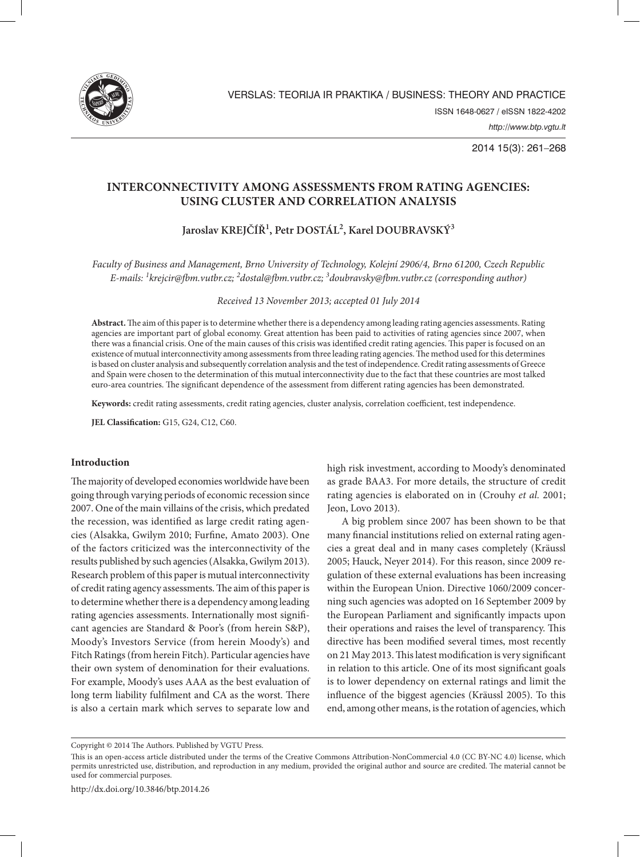

# **INTERCONNECTIVITY AMONG ASSESSMENTS FROM RATING AGENCIES: USING CLUSTER AND CORRELATION ANALYSIS**

**Jaroslav KREJČÍŘ1 , Petr DOSTÁL2 , Karel DOUBRAVSKÝ3**

*Faculty of Business and Management, Brno University of Technology, Kolejní 2906/4, Brno 61200, Czech Republic E-mails: 1 krejcir@fbm.vutbr.cz; 2 dostal@fbm.vutbr.cz; 3 doubravsky@fbm.vutbr.cz (corresponding author)*

*Received 13 November 2013; accepted 01 July 2014*

**Abstract.** The aim of this paper is to determine whether there is a dependency among leading rating agencies assessments. Rating agencies are important part of global economy. Great attention has been paid to activities of rating agencies since 2007, when there was a financial crisis. One of the main causes of this crisis was identified credit rating agencies. This paper is focused on an existence of mutual interconnectivity among assessments from three leading rating agencies. The method used for this determines is based on cluster analysis and subsequently correlation analysis and the test of independence. Credit rating assessments of Greece and Spain were chosen to the determination of this mutual interconnectivity due to the fact that these countries are most talked euro-area countries. The significant dependence of the assessment from different rating agencies has been demonstrated.

**Keywords:** credit rating assessments, credit rating agencies, cluster analysis, correlation coefficient, test independence.

**JEL Classification:** G15, G24, C12, C60.

### **Introduction**

The majority of developed economies worldwide have been going through varying periods of economic recession since 2007. One of the main villains of the crisis, which predated the recession, was identified as large credit rating agencies (Alsakka, Gwilym 2010; Furfine, Amato 2003). One of the factors criticized was the interconnectivity of the results published by such agencies (Alsakka, Gwilym 2013). Research problem of this paper is mutual interconnectivity of credit rating agency assessments. The aim of this paper is to determine whether there is a dependency among leading rating agencies assessments. Internationally most significant agencies are Standard & Poor's (from herein S&P), Moody's Investors Service (from herein Moody's) and Fitch Ratings (from herein Fitch). Particular agencies have their own system of denomination for their evaluations. For example, Moody's uses AAA as the best evaluation of long term liability fulfilment and CA as the worst. There is also a certain mark which serves to separate low and

high risk investment, according to Moody's denominated as grade BAA3. For more details, the structure of credit rating agencies is elaborated on in (Crouhy *et al.* 2001; Jeon, Lovo 2013).

A big problem since 2007 has been shown to be that many financial institutions relied on external rating agencies a great deal and in many cases completely (Kräussl 2005; Hauck, Neyer 2014). For this reason, since 2009 regulation of these external evaluations has been increasing within the European Union. Directive 1060/2009 concerning such agencies was adopted on 16 September 2009 by the European Parliament and significantly impacts upon their operations and raises the level of transparency. This directive has been modified several times, most recently on 21 May 2013. This latest modification is very significant in relation to this article. One of its most significant goals is to lower dependency on external ratings and limit the influence of the biggest agencies (Kräussl 2005). To this end, among other means, is the rotation of agencies, which

Copyright © 2014 The Authors. Published by VGTU Press.

This is an open-access article distributed under the terms of the Creative Commons Attribution-NonCommercial 4.0 (CC BY-NC 4.0) license, which permits unrestricted use, distribution, and reproduction in any medium, provided the original author and source are credited. The material cannot be used for commercial purposes.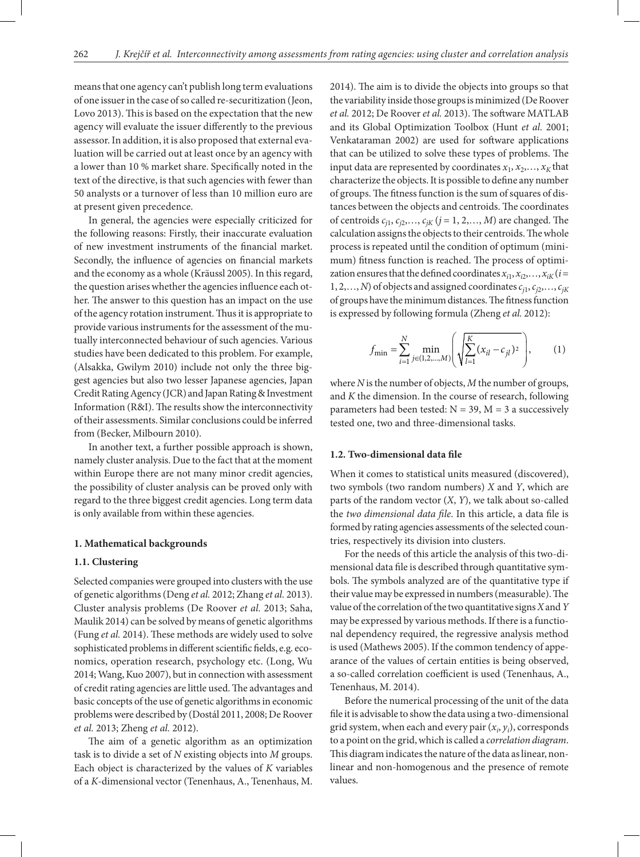means that one agency can't publish long term evaluations of one issuer in the case of so called re-securitization (Jeon, Lovo 2013). This is based on the expectation that the new agency will evaluate the issuer differently to the previous assessor. In addition, it is also proposed that external evaluation will be carried out at least once by an agency with a lower than 10 % market share. Specifically noted in the text of the directive, is that such agencies with fewer than 50 analysts or a turnover of less than 10 million euro are at present given precedence.

In general, the agencies were especially criticized for the following reasons: Firstly, their inaccurate evaluation of new investment instruments of the financial market. Secondly, the influence of agencies on financial markets and the economy as a whole (Kräussl 2005). In this regard, the question arises whether the agencies influence each other. The answer to this question has an impact on the use of the agency rotation instrument. Thus it is appropriate to provide various instruments for the assessment of the mutually interconnected behaviour of such agencies. Various studies have been dedicated to this problem. For example, (Alsakka, Gwilym 2010) include not only the three biggest agencies but also two lesser Japanese agencies, Japan Credit Rating Agency (JCR) and Japan Rating & Investment Information (R&I). The results show the interconnectivity of their assessments. Similar conclusions could be inferred from (Becker, Milbourn 2010).

In another text, a further possible approach is shown, namely cluster analysis. Due to the fact that at the moment within Europe there are not many minor credit agencies, the possibility of cluster analysis can be proved only with regard to the three biggest credit agencies. Long term data is only available from within these agencies.

### **1. Mathematical backgrounds**

#### **1.1. Clustering**

Selected companies were grouped into clusters with the use of genetic algorithms (Deng *et al.* 2012; Zhang *et al.* 2013). Cluster analysis problems (De Roover *et al.* 2013; Saha, Maulik 2014) can be solved by means of genetic algorithms (Fung *et al.* 2014). These methods are widely used to solve sophisticated problems in different scientific fields, e.g. economics, operation research, psychology etc. (Long, Wu 2014; Wang, Kuo 2007), but in connection with assessment of credit rating agencies are little used. The advantages and basic concepts of the use of genetic algorithms in economic problems were described by (Dostál 2011, 2008; De Roover *et al.* 2013; Zheng *et al.* 2012).

The aim of a genetic algorithm as an optimization task is to divide a set of *N* existing objects into *M* groups. Each object is characterized by the values of *K* variables of a *K*-dimensional vector (Tenenhaus, A., Tenenhaus, M. 2014). The aim is to divide the objects into groups so that the variability inside those groups is minimized (De Roover *et al.* 2012; De Roover *et al.* 2013). The software MATLAB and its Global Optimization Toolbox (Hunt *et al.* 2001; Venkataraman 2002) are used for software applications that can be utilized to solve these types of problems. The input data are represented by coordinates  $x_1, x_2, \ldots, x_k$  that characterize the objects. It is possible to define any number of groups. The fitness function is the sum of squares of distances between the objects and centroids. The coordinates of centroids  $c_{j1}, c_{j2},..., c_{jK}$  ( $j = 1, 2,..., M$ ) are changed. The calculation assigns the objects to their centroids. The whole process is repeated until the condition of optimum (minimum) fitness function is reached. The process of optimization ensures that the defined coordinates  $x_{i1}, x_{i2},..., x_{iK}$  (*i* = 1, 2,..., *N*) of objects and assigned coordinates  $c_{i1}, c_{i2}, \ldots, c_{iK}$ of groups have the minimum distances. The fitness function is expressed by following formula (Zheng *et al.* 2012):

$$
f_{\min} = \sum_{i=1}^{N} \min_{j \in (1,2,\dots,M)} \left( \sqrt{\sum_{l=1}^{K} (x_{il} - c_{jl})^2} \right), \quad (1)
$$

where *N* is the number of objects, *M* the number of groups, and *K* the dimension. In the course of research, following parameters had been tested:  $N = 39$ ,  $M = 3$  a successively tested one, two and three-dimensional tasks.

#### **1.2. Two-dimensional data file**

When it comes to statistical units measured (discovered), two symbols (two random numbers) *X* and *Y*, which are parts of the random vector (*X*, *Y*), we talk about so-called the *two dimensional data file*. In this article, a data file is formed by rating agencies assessments of the selected countries, respectively its division into clusters.

For the needs of this article the analysis of this two-dimensional data file is described through quantitative symbols. The symbols analyzed are of the quantitative type if their value may be expressed in numbers (measurable). The value of the correlation of the two quantitative signs *X* and *Y* may be expressed by various methods. If there is a functional dependency required, the regressive analysis method is used (Mathews 2005). If the common tendency of appearance of the values of certain entities is being observed, a so-called correlation coefficient is used (Tenenhaus, A., Tenenhaus, M. 2014).

Before the numerical processing of the unit of the data file it is advisable to show the data using a two-dimensional grid system, when each and every pair  $(x_i, y_i)$ , corresponds to a point on the grid, which is called a *correlation diagram*. This diagram indicates the nature of the data as linear, nonlinear and non-homogenous and the presence of remote values.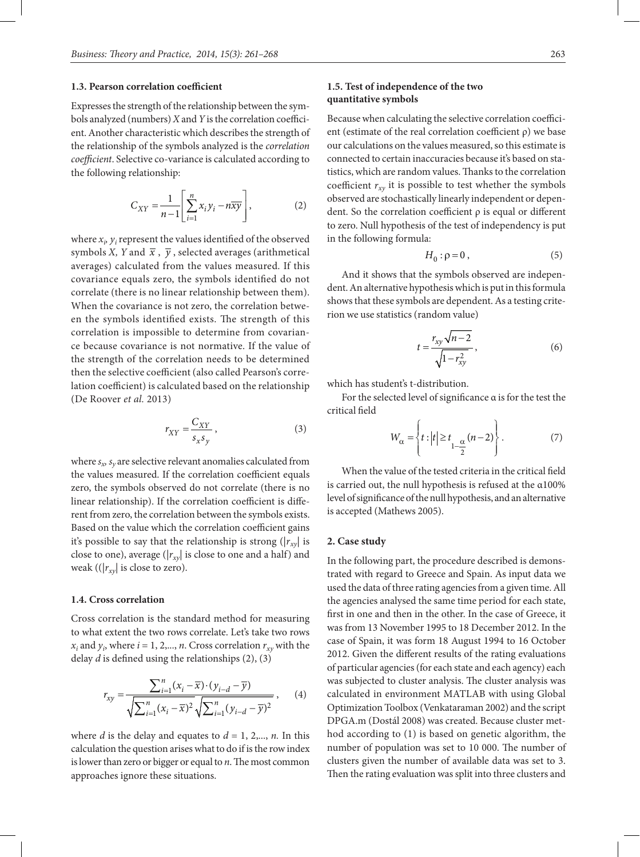# **1.3. Pearson correlation coefficient**

Expresses the strength of the relationship between the symbols analyzed (numbers) *X* and *Y* is the correlation coefficient. Another characteristic which describes the strength of the relationship of the symbols analyzed is the *correlation coefficient*. Selective co-variance is calculated according to the following relationship:

$$
C_{XY} = \frac{1}{n-1} \left[ \sum_{i=1}^{n} x_i y_i - n \overline{xy} \right],
$$
 (2)

where  $x_i$ ,  $y_i$  represent the values identified of the observed symbols *X*, *Y* and  $\bar{x}$ ,  $\bar{y}$ , selected averages (arithmetical averages) calculated from the values measured. If this covariance equals zero, the symbols identified do not correlate (there is no linear relationship between them). When the covariance is not zero, the correlation between the symbols identified exists. The strength of this correlation is impossible to determine from covariance because covariance is not normative. If the value of the strength of the correlation needs to be determined then the selective coefficient (also called Pearson's correlation coefficient) is calculated based on the relationship (De Roover *et al.* 2013)

$$
r_{XY} = \frac{C_{XY}}{s_x s_y},\tag{3}
$$

where  $s_x$ ,  $s_y$  are selective relevant anomalies calculated from the values measured. If the correlation coefficient equals zero, the symbols observed do not correlate (there is no linear relationship). If the correlation coefficient is different from zero, the correlation between the symbols exists. Based on the value which the correlation coefficient gains it's possible to say that the relationship is strong  $(|r_{xy}|)$  is close to one), average ( $|r_{xy}|$  is close to one and a half) and weak ( $(|r_{xy}|$  is close to zero).

#### **1.4. Cross correlation**

Cross correlation is the standard method for measuring to what extent the two rows correlate. Let's take two rows  $x_i$  and  $y_i$ , where  $i = 1, 2,..., n$ . Cross correlation  $r_{xy}$  with the delay *d* is defined using the relationships (2), (3)

$$
r_{xy} = \frac{\sum_{i=1}^{n} (x_i - \overline{x}) \cdot (y_{i-d} - \overline{y})}{\sqrt{\sum_{i=1}^{n} (x_i - \overline{x})^2} \sqrt{\sum_{i=1}^{n} (y_{i-d} - \overline{y})^2}},
$$
 (4)

where *d* is the delay and equates to  $d = 1, 2,..., n$ . In this calculation the question arises what to do if is the row index is lower than zero or bigger or equal to *n*. The most common approaches ignore these situations.

# **1.5. Test of independence of the two quantitative symbols**

Because when calculating the selective correlation coefficient (estimate of the real correlation coefficient ρ) we base our calculations on the values measured, so this estimate is connected to certain inaccuracies because it's based on statistics, which are random values. Thanks to the correlation coefficient  $r_{xy}$  it is possible to test whether the symbols observed are stochastically linearly independent or dependent. So the correlation coefficient  $\rho$  is equal or different to zero. Null hypothesis of the test of independency is put in the following formula:

$$
H_0: \rho = 0, \qquad (5)
$$

And it shows that the symbols observed are independent. An alternative hypothesis which is put in this formula shows that these symbols are dependent. As a testing criterion we use statistics (random value)

$$
t = \frac{r_{xy}\sqrt{n-2}}{\sqrt{1 - r_{xy}^2}},
$$
\n(6)

which has student's t-distribution.

For the selected level of significance α is for the test the critical field

$$
W_{\alpha} = \left\{ t : |t| \ge t_{1-\frac{\alpha}{2}}(n-2) \right\}.
$$
 (7)

When the value of the tested criteria in the critical field is carried out, the null hypothesis is refused at the α100% level of significance of the null hypothesis, and an alternative is accepted (Mathews 2005).

# **2. Case study**

In the following part, the procedure described is demonstrated with regard to Greece and Spain. As input data we used the data of three rating agencies from a given time. All the agencies analysed the same time period for each state, first in one and then in the other. In the case of Greece, it was from 13 November 1995 to 18 December 2012. In the case of Spain, it was form 18 August 1994 to 16 October 2012. Given the different results of the rating evaluations of particular agencies (for each state and each agency) each was subjected to cluster analysis. The cluster analysis was calculated in environment MATLAB with using Global Optimization Toolbox (Venkataraman 2002) and the script DPGA.m (Dostál 2008) was created. Because cluster method according to (1) is based on genetic algorithm, the number of population was set to 10 000. The number of clusters given the number of available data was set to 3. Then the rating evaluation was split into three clusters and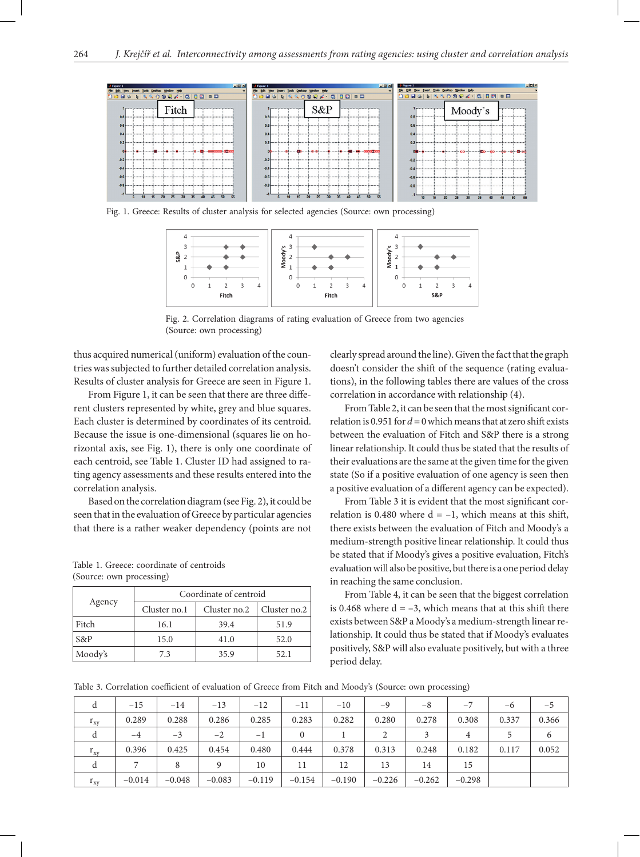

Fig. 1. Greece: Results of cluster analysis for selected agencies (Source: own processing)



Fig. 2. Correlation diagrams of rating evaluation of Greece from two agencies (Source: own processing)

thus acquired numerical (uniform) evaluation of the countries was subjected to further detailed correlation analysis. Results of cluster analysis for Greece are seen in Figure 1.

From Figure 1, it can be seen that there are three different clusters represented by white, grey and blue squares. Each cluster is determined by coordinates of its centroid. Because the issue is one-dimensional (squares lie on horizontal axis, see Fig. 1), there is only one coordinate of each centroid, see Table 1. Cluster ID had assigned to rating agency assessments and these results entered into the correlation analysis.

Based on the correlation diagram (see Fig. 2), it could be seen that in the evaluation of Greece by particular agencies that there is a rather weaker dependency (points are not

Table 1. Greece: coordinate of centroids (Source: own processing)

|         | Coordinate of centroid |              |              |  |  |  |  |
|---------|------------------------|--------------|--------------|--|--|--|--|
| Agency  | Cluster no.1           | Cluster no.2 | Cluster no.2 |  |  |  |  |
| Fitch   | 16.1                   | 39.4         | 51.9         |  |  |  |  |
| S&P     | 15.0                   | 41.0         | 52.0         |  |  |  |  |
| Moody's | 73                     | 35.9         | 52.1         |  |  |  |  |

clearly spread around the line). Given the fact that the graph doesn't consider the shift of the sequence (rating evaluations), in the following tables there are values of the cross correlation in accordance with relationship (4).

From Table 2, it can be seen that the most significant correlation is 0.951 for  $d = 0$  which means that at zero shift exists between the evaluation of Fitch and S&P there is a strong linear relationship. It could thus be stated that the results of their evaluations are the same at the given time for the given state (So if a positive evaluation of one agency is seen then a positive evaluation of a different agency can be expected).

From Table 3 it is evident that the most significant correlation is 0.480 where  $d = -1$ , which means at this shift, there exists between the evaluation of Fitch and Moody's a medium-strength positive linear relationship. It could thus be stated that if Moody's gives a positive evaluation, Fitch's evaluation will also be positive, but there is a one period delay in reaching the same conclusion.

From Table 4, it can be seen that the biggest correlation is 0.468 where  $d = -3$ , which means that at this shift there exists between S&P a Moody's a medium-strength linear relationship. It could thus be stated that if Moody's evaluates positively, S&P will also evaluate positively, but with a three period delay.

Table 3. Correlation coefficient of evaluation of Greece from Fitch and Moody's (Source: own processing)

| d        | $-15$    | $-14$    | $-13$    | $-12$    | $-11$        | $-10$    | -9       | $-8$     | $-7$     | $-6$  | -5    |
|----------|----------|----------|----------|----------|--------------|----------|----------|----------|----------|-------|-------|
| $r_{xy}$ | 0.289    | 0.288    | 0.286    | 0.285    | 0.283        | 0.282    | 0.280    | 0.278    | 0.308    | 0.337 | 0.366 |
| d        | $-4$     | $-3$     | $-2$     | $-1$     | $\mathbf{0}$ |          | 2        | 3        | 4        |       | 6     |
| $r_{xy}$ | 0.396    | 0.425    | 0.454    | 0.480    | 0.444        | 0.378    | 0.313    | 0.248    | 0.182    | 0.117 | 0.052 |
| d        |          | 8        | 9        | 10       | 11           | 12       | 13       | 14       | 15       |       |       |
| $r_{xy}$ | $-0.014$ | $-0.048$ | $-0.083$ | $-0.119$ | $-0.154$     | $-0.190$ | $-0.226$ | $-0.262$ | $-0.298$ |       |       |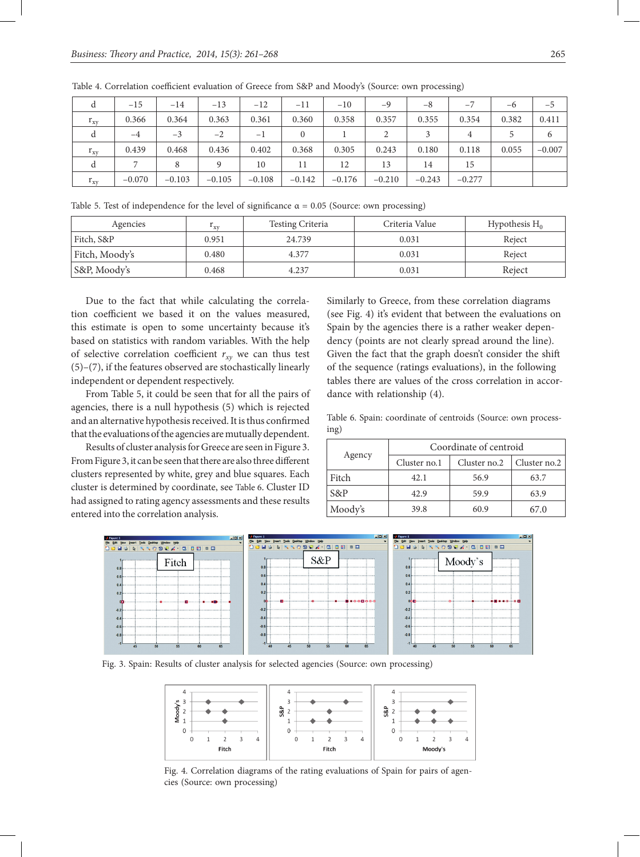| d        | $-15$    | $-14$    | $-13$    | $-12$    | $-11$    | $-10$    | $-9$     | $-8$     | $-7$     | -6    | $-5$     |
|----------|----------|----------|----------|----------|----------|----------|----------|----------|----------|-------|----------|
| $r_{xy}$ | 0.366    | 0.364    | 0.363    | 0.361    | 0.360    | 0.358    | 0.357    | 0.355    | 0.354    | 0.382 | 0.411    |
| d        | $-4$     | $-3$     | $-2$     | $-1$     |          |          |          | 3        | 4        |       | 6        |
| $r_{xy}$ | 0.439    | 0.468    | 0.436    | 0.402    | 0.368    | 0.305    | 0.243    | 0.180    | 0.118    | 0.055 | $-0.007$ |
| d        |          | 8        | 9        | 10       | 11       | 12       | 13       | 14       | 15       |       |          |
| $r_{xy}$ | $-0.070$ | $-0.103$ | $-0.105$ | $-0.108$ | $-0.142$ | $-0.176$ | $-0.210$ | $-0.243$ | $-0.277$ |       |          |

Table 4. Correlation coefficient evaluation of Greece from S&P and Moody's (Source: own processing)

Table 5. Test of independence for the level of significance  $\alpha = 0.05$  (Source: own processing)

| Agencies       | $1_{\rm XV}$ | <b>Testing Criteria</b> | Criteria Value | Hypothesis $H_0$ |
|----------------|--------------|-------------------------|----------------|------------------|
| Fitch, S&P     | 0.951        | 24.739                  | 0.031          | Reject           |
| Fitch, Moody's | 0.480        | 4.377                   | 0.031          | Reject           |
| S&P, Moody's   | 0.468        | 4.237                   | 0.031          | Reject           |

Due to the fact that while calculating the correlation coefficient we based it on the values measured, this estimate is open to some uncertainty because it's based on statistics with random variables. With the help of selective correlation coefficient  $r_{xy}$  we can thus test (5)–(7), if the features observed are stochastically linearly independent or dependent respectively.

From Table 5, it could be seen that for all the pairs of agencies, there is a null hypothesis (5) which is rejected and an alternative hypothesis received. It is thus confirmed that the evaluations of the agencies are mutually dependent.

Results of cluster analysis for Greece are seen in Figure 3. From Figure 3, it can be seen that there are also three different clusters represented by white, grey and blue squares. Each cluster is determined by coordinate, see Table 6. Cluster ID had assigned to rating agency assessments and these results entered into the correlation analysis.

Similarly to Greece, from these correlation diagrams (see Fig. 4) it's evident that between the evaluations on Spain by the agencies there is a rather weaker dependency (points are not clearly spread around the line). Given the fact that the graph doesn't consider the shift of the sequence (ratings evaluations), in the following tables there are values of the cross correlation in accordance with relationship (4).

Table 6. Spain: coordinate of centroids (Source: own processing)

| Agency  | Coordinate of centroid |              |              |  |  |  |  |
|---------|------------------------|--------------|--------------|--|--|--|--|
|         | Cluster no.1           | Cluster no.2 | Cluster no.2 |  |  |  |  |
| Fitch   | 42.1                   | 56.9         | 63.7         |  |  |  |  |
| S&P     | 42.9                   | 59.9         | 63.9         |  |  |  |  |
| Moody's | 39.8                   | 60.9         | 67.0         |  |  |  |  |



Fig. 3. Spain: Results of cluster analysis for selected agencies (Source: own processing)



Fig. 4. Correlation diagrams of the rating evaluations of Spain for pairs of agencies (Source: own processing)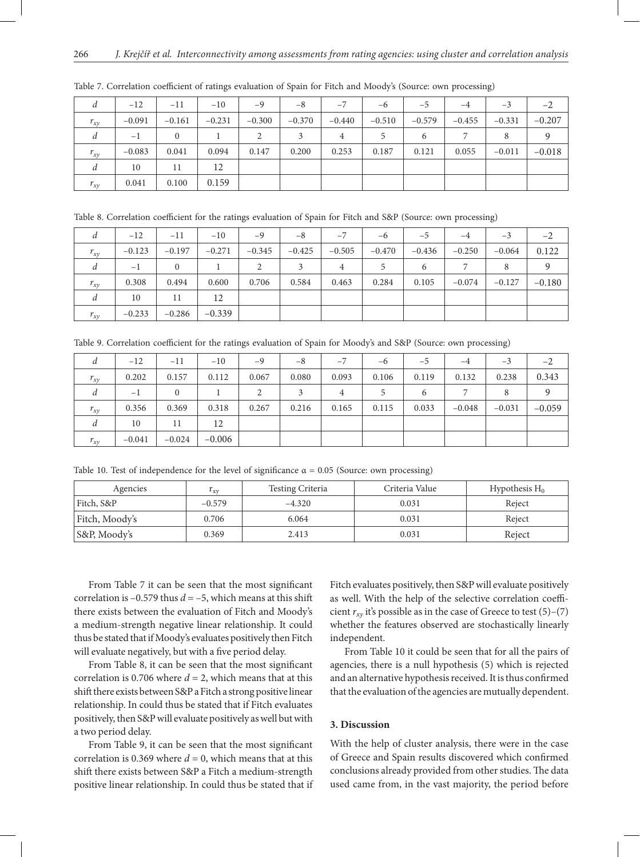| d        | $-12$    | $-11$    | $-10$    | $-9$     | $-8$     | $-7$     | -6       | $-5$     | $-4$     | $-3$     | -2       |
|----------|----------|----------|----------|----------|----------|----------|----------|----------|----------|----------|----------|
| $r_{xy}$ | $-0.091$ | $-0.161$ | $-0.231$ | $-0.300$ | $-0.370$ | $-0.440$ | $-0.510$ | $-0.579$ | $-0.455$ | $-0.331$ | $-0.207$ |
| d        | $-1$     | $\Omega$ |          | 2        |          | 4        |          | 6        |          |          | 9        |
| $r_{xy}$ | $-0.083$ | 0.041    | 0.094    | 0.147    | 0.200    | 0.253    | 0.187    | 0.121    | 0.055    | $-0.011$ | $-0.018$ |
| d        | 10       | 11       | 12       |          |          |          |          |          |          |          |          |
| $r_{xy}$ | 0.041    | 0.100    | 0.159    |          |          |          |          |          |          |          |          |

Table 7. Correlation coefficient of ratings evaluation of Spain for Fitch and Moody's (Source: own processing)

Table 8. Correlation coefficient for the ratings evaluation of Spain for Fitch and S&P (Source: own processing)

| d        | $-12$    | $-11$          | $-10$    | $-9$     | $-8$     | $-7$     | -6       | $-5$     | $-4$     | $-3$     | $-2$     |
|----------|----------|----------------|----------|----------|----------|----------|----------|----------|----------|----------|----------|
| $r_{xy}$ | $-0.123$ | $-0.197$       | $-0.271$ | $-0.345$ | $-0.425$ | $-0.505$ | $-0.470$ | $-0.436$ | $-0.250$ | $-0.064$ | 0.122    |
| d        | $-1$     | $\overline{0}$ |          | 2        | 3        | 4        | 5        | 6        |          | 8        | 9        |
| $r_{xy}$ | 0.308    | 0.494          | 0.600    | 0.706    | 0.584    | 0.463    | 0.284    | 0.105    | $-0.074$ | $-0.127$ | $-0.180$ |
| d        | 10       | 11             | 12       |          |          |          |          |          |          |          |          |
| $r_{xy}$ | $-0.233$ | $-0.286$       | $-0.339$ |          |          |          |          |          |          |          |          |

Table 9. Correlation coefficient for the ratings evaluation of Spain for Moody's and S&P (Source: own processing)

| a        | $-12$    | $-11$        | $-10$    | $-9$  | $-8$  | $-7$  | -6    | $-5$  | $-4$     | $-3$     | $-2$     |
|----------|----------|--------------|----------|-------|-------|-------|-------|-------|----------|----------|----------|
| $r_{xy}$ | 0.202    | 0.157        | 0.112    | 0.067 | 0.080 | 0.093 | 0.106 | 0.119 | 0.132    | 0.238    | 0.343    |
| a        | $^{-1}$  | $\mathbf{0}$ |          |       | 3     | 4     | 5     | 6     |          | 8        |          |
| $r_{xy}$ | 0.356    | 0.369        | 0.318    | 0.267 | 0.216 | 0.165 | 0.115 | 0.033 | $-0.048$ | $-0.031$ | $-0.059$ |
| d        | 10       | 11           | 12       |       |       |       |       |       |          |          |          |
| $r_{xy}$ | $-0.041$ | $-0.024$     | $-0.006$ |       |       |       |       |       |          |          |          |

Table 10. Test of independence for the level of significance  $\alpha = 0.05$  (Source: own processing)

| Agencies       | $1_{\rm XV}$ | <b>Testing Criteria</b> | Criteria Value | Hypothesis $H_0$ |
|----------------|--------------|-------------------------|----------------|------------------|
| Fitch, S&P     | $-0.579$     | $-4.320$                | 0.031          | Reject           |
| Fitch, Moody's | 0.706        | 6.064                   | 0.031          | Reject           |
| S&P, Moody's   | 0.369        | 2.413                   | 0.031          | Reject           |

From Table 7 it can be seen that the most significant correlation is  $-0.579$  thus  $d = -5$ , which means at this shift there exists between the evaluation of Fitch and Moody's a medium-strength negative linear relationship. It could thus be stated that if Moody's evaluates positively then Fitch will evaluate negatively, but with a five period delay.

From Table 8, it can be seen that the most significant correlation is 0.706 where  $d = 2$ , which means that at this shift there exists between S&P a Fitch a strong positive linear relationship. In could thus be stated that if Fitch evaluates positively, then S&P will evaluate positively as well but with a two period delay.

From Table 9, it can be seen that the most significant correlation is 0.369 where  $d = 0$ , which means that at this shift there exists between S&P a Fitch a medium-strength positive linear relationship. In could thus be stated that if

Fitch evaluates positively, then S&P will evaluate positively as well. With the help of the selective correlation coefficient  $r_{xy}$  it's possible as in the case of Greece to test (5)–(7) whether the features observed are stochastically linearly independent.

From Table 10 it could be seen that for all the pairs of agencies, there is a null hypothesis (5) which is rejected and an alternative hypothesis received. It is thus confirmed that the evaluation of the agencies are mutually dependent.

### **3. Discussion**

With the help of cluster analysis, there were in the case of Greece and Spain results discovered which confirmed conclusions already provided from other studies. The data used came from, in the vast majority, the period before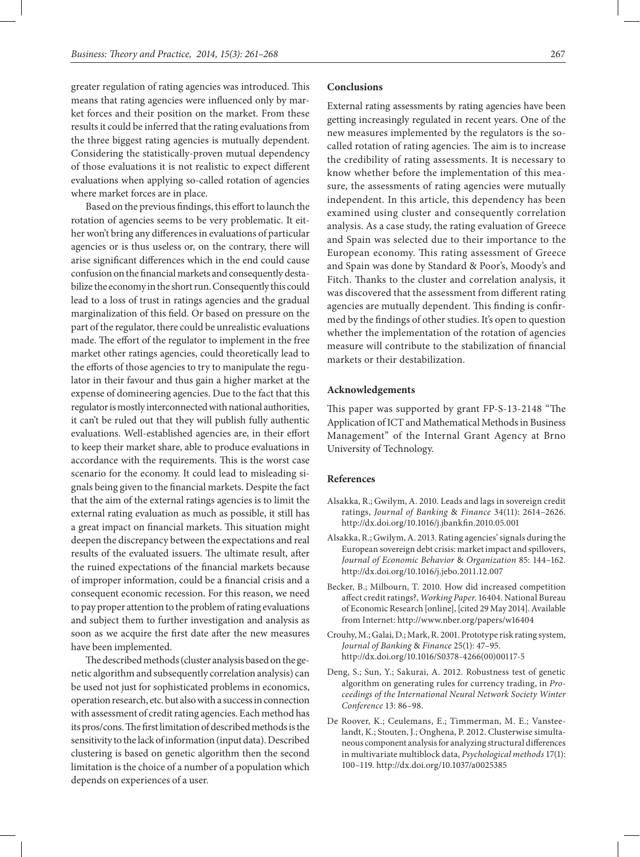greater regulation of rating agencies was introduced. This means that rating agencies were influenced only by market forces and their position on the market. From these results it could be inferred that the rating evaluations from the three biggest rating agencies is mutually dependent. Considering the statistically-proven mutual dependency of those evaluations it is not realistic to expect different evaluations when applying so-called rotation of agencies where market forces are in place.

Based on the previous findings, this effort to launch the rotation of agencies seems to be very problematic. It either won't bring any differences in evaluations of particular agencies or is thus useless or, on the contrary, there will arise significant differences which in the end could cause confusion on the financial markets and consequently destabilize the economy in the short run. Consequently this could lead to a loss of trust in ratings agencies and the gradual marginalization of this field. Or based on pressure on the part of the regulator, there could be unrealistic evaluations made. The effort of the regulator to implement in the free market other ratings agencies, could theoretically lead to the efforts of those agencies to try to manipulate the regulator in their favour and thus gain a higher market at the expense of domineering agencies. Due to the fact that this regulator is mostly interconnected with national authorities, it can't be ruled out that they will publish fully authentic evaluations. Well-established agencies are, in their effort to keep their market share, able to produce evaluations in accordance with the requirements. This is the worst case scenario for the economy. It could lead to misleading signals being given to the financial markets. Despite the fact that the aim of the external ratings agencies is to limit the external rating evaluation as much as possible, it still has a great impact on financial markets. This situation might deepen the discrepancy between the expectations and real results of the evaluated issuers. The ultimate result, after the ruined expectations of the financial markets because of improper information, could be a financial crisis and a consequent economic recession. For this reason, we need to pay proper attention to the problem of rating evaluations and subject them to further investigation and analysis as soon as we acquire the first date after the new measures have been implemented.

The described methods (cluster analysis based on the genetic algorithm and subsequently correlation analysis) can be used not just for sophisticated problems in economics, operation research, etc. but also with a success in connection with assessment of credit rating agencies. Each method has its pros/cons. The first limitation of described methods is the sensitivity to the lack of information (input data). Described clustering is based on genetic algorithm then the second limitation is the choice of a number of a population which depends on experiences of a user.

## **Conclusions**

External rating assessments by rating agencies have been getting increasingly regulated in recent years. One of the new measures implemented by the regulators is the socalled rotation of rating agencies. The aim is to increase the credibility of rating assessments. It is necessary to know whether before the implementation of this measure, the assessments of rating agencies were mutually independent. In this article, this dependency has been examined using cluster and consequently correlation analysis. As a case study, the rating evaluation of Greece and Spain was selected due to their importance to the European economy. This rating assessment of Greece and Spain was done by Standard & Poor's, Moody's and Fitch. Thanks to the cluster and correlation analysis, it was discovered that the assessment from different rating agencies are mutually dependent. This finding is confirmed by the findings of other studies. It's open to question whether the implementation of the rotation of agencies measure will contribute to the stabilization of financial markets or their destabilization.

### **Acknowledgements**

This paper was supported by grant FP-S-13-2148 "The Application of ICT and Mathematical Methods in Business Management" of the Internal Grant Agency at Brno University of Technology.

# **References**

- Alsakka, R.; Gwilym, A. 2010. Leads and lags in sovereign credit ratings, *Journal of Banking* & *Finance* 34(11): 2614–2626. http://dx.doi.org/10.1016/j.jbankfin.2010.05.001
- Alsakka, R.; Gwilym, A. 2013. Rating agencies' signals during the European sovereign debt crisis: market impact and spillovers, *Journal of Economic Behavior* & *Organization* 85: 144–162. http://dx.doi.org/10.1016/j.jebo.2011.12.007
- Becker, B.; Milbourn, T. 2010. How did increased competition affect credit ratings?, *Working Paper*. 16404. National Bureau of Economic Research [online], [cited 29 May 2014]. Available from Internet: http://www.nber.org/papers/w16404
- Crouhy, M.; Galai, D.; Mark, R. 2001. Prototype risk rating system, *Journal of Banking* & *Finance* 25(1): 47–95. http://dx.doi.org/10.1016/S0378-4266(00)00117-5
- Deng, S.; Sun, Y.; Sakurai, A. 2012. Robustness test of genetic algorithm on generating rules for currency trading, in *Proceedings of the International Neural Network Society Winter Conference* 13: 86–98.
- De Roover, K.; Ceulemans, E.; Timmerman, M. E.; Vansteelandt, K.; Stouten, J.; Onghena, P. 2012. Clusterwise simultaneous component analysis for analyzing structural differences in multivariate multiblock data, *Psychological methods* 17(1): 100–119. http://dx.doi.org/10.1037/a0025385